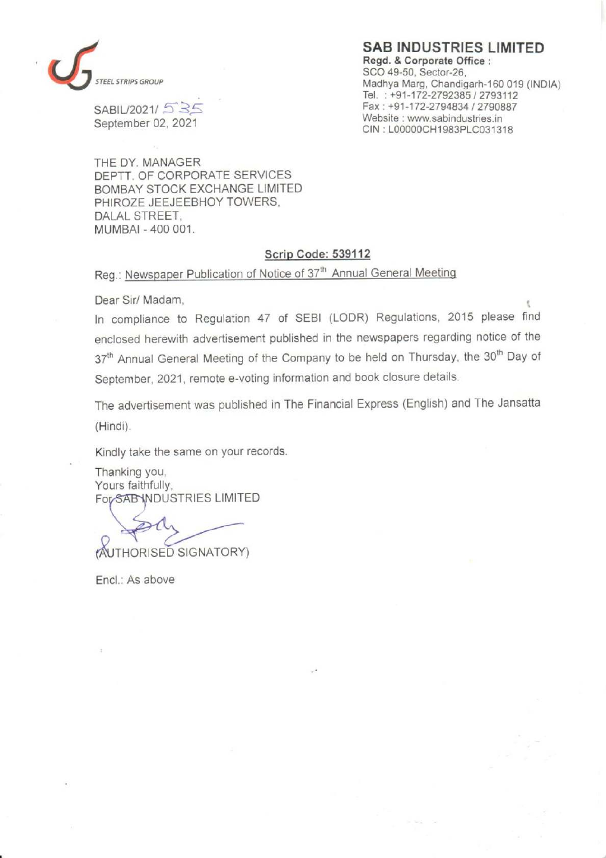

SABIL/2021/ 5 35 September 02, 2021

SAB INDUSTRIES LIMITED Regd. & Corporate Office : SCO 49-50, Sector-26, Madhya Marg, Chandigarh-160 019 (INDIA) Tel. : +91-172-2792385 / 2793112 Fax : +91-172-2794834 / 2790887 Website : www.sabindustries.in CIN : LOOO00CH1983PLC031318

THE DY. MANAGER DEPTT. OF CORPORATE SERVICES BOMBAY STOCK EXCHANGE LIMITED PHIROZE JEEJEEBHOY TOWERS, DALAL STREET, MUMBAI - 400 001.

## Scrip Code: 539112

Reg.: Newspaper Publication of Notice of 37" Annual General Meeting

Dear Sir/ Madam,

In compliance to Regulation 47 of SEBI (LODR) Regulations, 2015 please find enclosed herewith advertisement published in the newspapers regarding notice of the 37<sup>th</sup> Annual General Meeting of the Company to be held on Thursday, the 30<sup>th</sup> Day of September, 2021, remote e-voting information and book closure details.

The advertisement was published in The Financial Express (English) and The Jansatta (Hindi).

Kindly take the same on your records.

Thanking you, Yours faithfully, For SAB INDUSTRIES LIMITED

AUTHORISED SIGNATORY)

Encl.: As above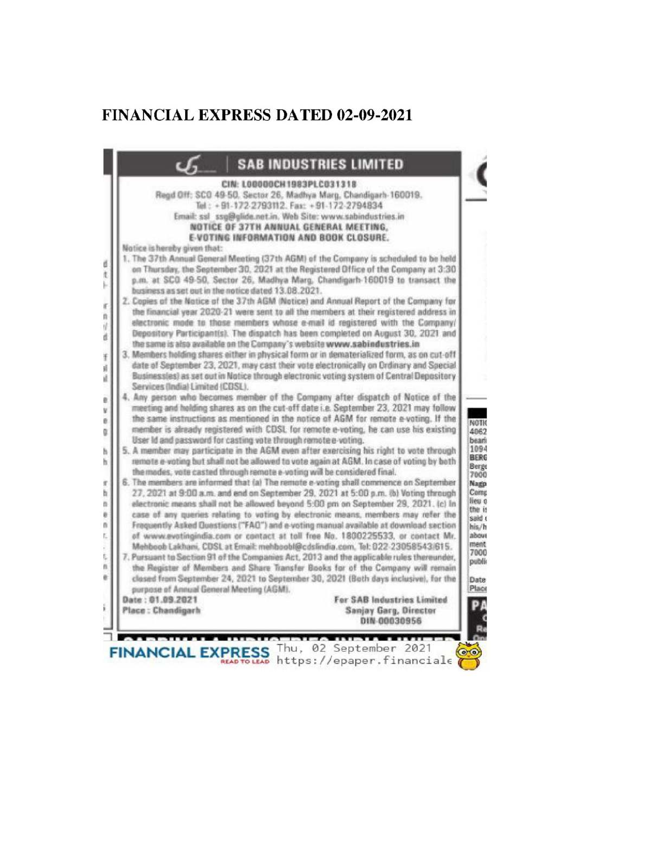## **FINANCIAL EXPRESS DATED 02-09-2021**

|                                                                | CIN: LOODOOCH1983PLC031318                                                                                                                                                  |
|----------------------------------------------------------------|-----------------------------------------------------------------------------------------------------------------------------------------------------------------------------|
|                                                                | Regd Off: SCO 49-50, Sector 26, Madhya Marg, Chandigarh-160019.                                                                                                             |
|                                                                | Tel: +91-172-2793112. Fax: +91-172-2794834                                                                                                                                  |
|                                                                | Email: ssl ssg@glide.net.in. Web Site: www.sabindustries.in<br>NOTICE OF 37TH ANNUAL GENERAL MEETING,                                                                       |
|                                                                | E-VOTING INFORMATION AND BOOK CLOSURE.                                                                                                                                      |
| Notice is hereby given that:                                   |                                                                                                                                                                             |
|                                                                | 1. The 37th Annual General Meeting (37th AGM) of the Company is scheduled to be held                                                                                        |
|                                                                | on Thursday, the September 30, 2021 at the Registered Office of the Company at 3:30                                                                                         |
|                                                                | p.m. at SCO 49-50, Sector 26, Madhya Marg, Chandigarh-160019 to transact the                                                                                                |
| business as set out in the notice dated 13.08.2021.            |                                                                                                                                                                             |
|                                                                | 2. Copies of the Notice of the 37th AGM (Notice) and Annual Report of the Company for                                                                                       |
|                                                                | the financial year 2020-21 were sent to all the members at their registered address in<br>electronic mode to those members whose e-mail id registered with the Company/     |
|                                                                | Depository Participant(s). The dispatch has been completed on August 30, 2021 and                                                                                           |
|                                                                | the same is also available on the Company's website www.sabindustries.in                                                                                                    |
|                                                                | 3. Members holding shares either in physical form or in dematerialized form, as on cut-off                                                                                  |
|                                                                | date of September 23, 2021, may cast their vote electronically on Ordinary and Special                                                                                      |
|                                                                | Businessles) as set out in Notice through electronic voting system of Central Depository                                                                                    |
| Services (India) Limited (CDSL),                               |                                                                                                                                                                             |
|                                                                | 4. Any person who becomes member of the Company after dispatch of Notice of the                                                                                             |
|                                                                | meeting and holding shares as on the cut-off date i.e. September 23, 2021 may follow<br>the same instructions as mentioned in the notice of AGM for remote e-voting. If the |
|                                                                | member is already registered with CDSL for remote e-voting, he can use his existing                                                                                         |
| User Id and password for casting vote through remote e-voting. |                                                                                                                                                                             |
|                                                                | 5. A member may participate in the AGM even after exercising his right to vote through                                                                                      |
|                                                                | remote e-voting but shall not be allowed to vote again at AGM. In case of voting by both                                                                                    |
|                                                                | the modes, vote casted through remote e-voting will be considered final.                                                                                                    |
|                                                                | 6. The members are informed that (a) The remote e-voting shall commence on September<br>27, 2021 at 9:00 a.m. and end on September 29, 2021 at 5:00 p.m. (b) Voting through |
|                                                                | electronic means shall not be allowed beyond 5:00 pm on September 29, 2021. (c) In                                                                                          |
|                                                                | case of any queries relating to voting by electronic means, members may refer the                                                                                           |
|                                                                | Frequently Asked Questions ("FAQ") and e-voting manual available at download section                                                                                        |
|                                                                | of www.evotingindia.com or contact at toll free No. 1800225533, or contact Mr.                                                                                              |
|                                                                | Mehboob Lakhani, CDSL at Email: mehboobl@cdslindia.com, Tel: 022-23058543/615.                                                                                              |
|                                                                | 7. Pursuant to Section 91 of the Companies Act, 2013 and the applicable rules thereunder,                                                                                   |
|                                                                | the Register of Members and Share Transfer Books for of the Company will remain                                                                                             |
| purpose of Annual General Meeting (AGM).                       | clased from September 24, 2021 to September 30, 2021 (Both days inclusive), for the                                                                                         |
| Date: 01.09.2021                                               | For SAB Industries Limited                                                                                                                                                  |
| Place: Chandigarh                                              | Sanjay Garg, Director                                                                                                                                                       |
|                                                                | DIN 00030956                                                                                                                                                                |
|                                                                |                                                                                                                                                                             |